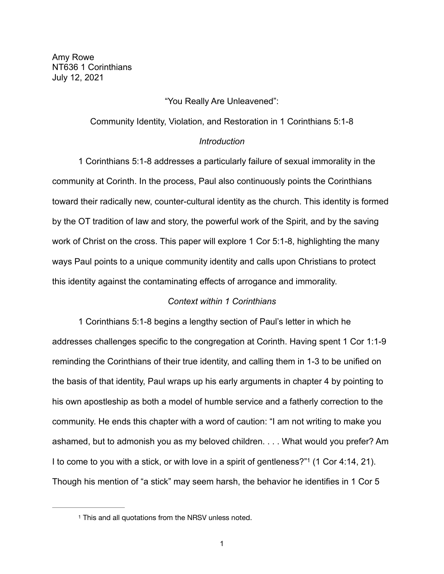Amy Rowe NT636 1 Corinthians July 12, 2021

### "You Really Are Unleavened":

### Community Identity, Violation, and Restoration in 1 Corinthians 5:1-8

#### *Introduction*

 1 Corinthians 5:1-8 addresses a particularly failure of sexual immorality in the community at Corinth. In the process, Paul also continuously points the Corinthians toward their radically new, counter-cultural identity as the church. This identity is formed by the OT tradition of law and story, the powerful work of the Spirit, and by the saving work of Christ on the cross. This paper will explore 1 Cor 5:1-8, highlighting the many ways Paul points to a unique community identity and calls upon Christians to protect this identity against the contaminating effects of arrogance and immorality.

### <span id="page-0-1"></span>*Context within 1 Corinthians*

 1 Corinthians 5:1-8 begins a lengthy section of Paul's letter in which he addresses challenges specific to the congregation at Corinth. Having spent 1 Cor 1:1-9 reminding the Corinthians of their true identity, and calling them in 1-3 to be unified on the basis of that identity, Paul wraps up his early arguments in chapter 4 by pointing to his own apostleship as both a model of humble service and a fatherly correction to the community. He ends this chapter with a word of caution: "I am not writing to make you ashamed, but to admonish you as my beloved children. . . . What would you prefer? Am Ito come to you with a stick, or with love in a spirit of gentleness?" $1$  (1 Cor 4:14, 21). Though his mention of "a stick" may seem harsh, the behavior he identifies in 1 Cor 5

<span id="page-0-0"></span><sup>&</sup>lt;sup>[1](#page-0-1)</sup> This and all quotations from the NRSV unless noted.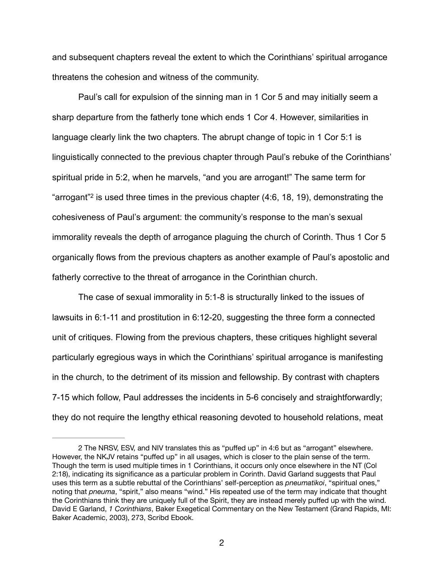and subsequent chapters reveal the extent to which the Corinthians' spiritual arrogance threatens the cohesion and witness of the community.

<span id="page-1-1"></span> Paul's call for expulsion of the sinning man in 1 Cor 5 and may initially seem a sharp departure from the fatherly tone which ends 1 Cor 4. However, similarities in language clearly link the two chapters. The abrupt change of topic in 1 Cor 5:1 is linguistically connected to the previous chapter through Paul's rebuke of the Corinthians' spiritual pride in 5:2, when he marvels, "and you are arrogant!" The same term for "arrogant" is used three times in the previous chapter  $(4.6, 18, 19)$ , demonstrating the cohesiveness of Paul's argument: the community's response to the man's sexual immorality reveals the depth of arrogance plaguing the church of Corinth. Thus 1 Cor 5 organically flows from the previous chapters as another example of Paul's apostolic and fatherly corrective to the threat of arrogance in the Corinthian church.

 The case of sexual immorality in 5:1-8 is structurally linked to the issues of lawsuits in 6:1-11 and prostitution in 6:12-20, suggesting the three form a connected unit of critiques. Flowing from the previous chapters, these critiques highlight several particularly egregious ways in which the Corinthians' spiritual arrogance is manifesting in the church, to the detriment of its mission and fellowship. By contrast with chapters 7-15 which follow, Paul addresses the incidents in 5-6 concisely and straightforwardly; they do not require the lengthy ethical reasoning devoted to household relations, meat

<span id="page-1-0"></span>[<sup>2</sup>](#page-1-1) The NRSV, ESV, and NIV translates this as "puffed up" in 4:6 but as "arrogant" elsewhere. However, the NKJV retains "puffed up" in all usages, which is closer to the plain sense of the term. Though the term is used multiple times in 1 Corinthians, it occurs only once elsewhere in the NT (Col 2:18), indicating its significance as a particular problem in Corinth. David Garland suggests that Paul uses this term as a subtle rebuttal of the Corinthians' self-perception as *pneumatikoi*, "spiritual ones," noting that *pneuma*, "spirit," also means "wind." His repeated use of the term may indicate that thought the Corinthians think they are uniquely full of the Spirit, they are instead merely puffed up with the wind. David E Garland, *1 Corinthians*, Baker Exegetical Commentary on the New Testament (Grand Rapids, MI: Baker Academic, 2003), 273, Scribd Ebook.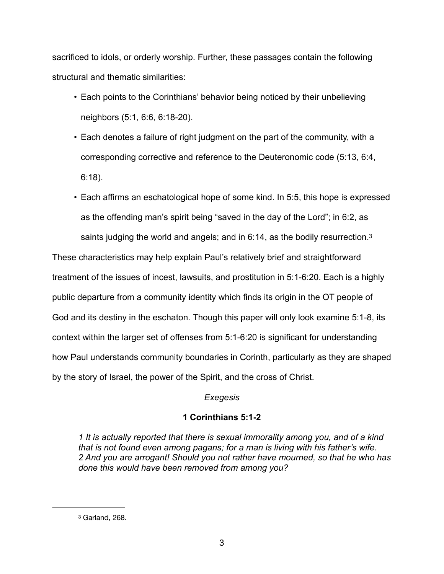sacrificed to idols, or orderly worship. Further, these passages contain the following structural and thematic similarities:

- Each points to the Corinthians' behavior being noticed by their unbelieving neighbors (5:1, 6:6, 6:18-20).
- Each denotes a failure of right judgment on the part of the community, with a corresponding corrective and reference to the Deuteronomic code (5:13, 6:4, 6:18).
- Each affirms an eschatological hope of some kind. In 5:5, this hope is expressed as the offending man's spirit being "saved in the day of the Lord"; in 6:2, as saints judging the world and angels; and in 6:14, as the bodily resurrection.<sup>3</sup>

These characteristics may help explain Paul's relatively brief and straightforward treatment of the issues of incest, lawsuits, and prostitution in 5:1-6:20. Each is a highly public departure from a community identity which finds its origin in the OT people of God and its destiny in the eschaton. Though this paper will only look examine 5:1-8, its context within the larger set of offenses from 5:1-6:20 is significant for understanding how Paul understands community boundaries in Corinth, particularly as they are shaped by the story of Israel, the power of the Spirit, and the cross of Christ.

# <span id="page-2-1"></span>*Exegesis*

# **1 Corinthians 5:1-2**

*1 It is actually reported that there is sexual immorality among you, and of a kind that is not found even among pagans; for a man is living with his father's wife. 2 And you are arrogant! Should you not rather have mourned, so that he who has done this would have been removed from among you?* 

<span id="page-2-0"></span><sup>&</sup>lt;sup>[3](#page-2-1)</sup> Garland, 268.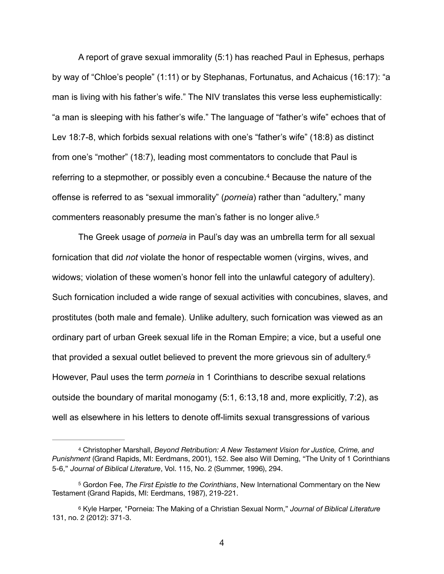A report of grave sexual immorality (5:1) has reached Paul in Ephesus, perhaps by way of "Chloe's people" (1:11) or by Stephanas, Fortunatus, and Achaicus (16:17): "a man is living with his father's wife." The NIV translates this verse less euphemistically: "a man is sleeping with his father's wife." The language of "father's wife" echoes that of Lev 18:7-8, which forbids sexual relations with one's "father's wife" (18:8) as distinct from one's "mother" (18:7), leading most commentators to conclude that Paul is referringto a stepmother, or possibly even a concubine.<sup>[4](#page-3-0)</sup> Because the nature of the offense is referred to as "sexual immorality" (*porneia*) rather than "adultery," many commenters reasonably presume the man's father is no longer alive. [5](#page-3-1)

<span id="page-3-4"></span><span id="page-3-3"></span> The Greek usage of *porneia* in Paul's day was an umbrella term for all sexual fornication that did *not* violate the honor of respectable women (virgins, wives, and widows; violation of these women's honor fell into the unlawful category of adultery). Such fornication included a wide range of sexual activities with concubines, slaves, and prostitutes (both male and female). Unlike adultery, such fornication was viewed as an ordinary part of urban Greek sexual life in the Roman Empire; a vice, but a useful one that provided a sexual outlet believed to prevent the more grievous sin of adultery.[6](#page-3-2) However, Paul uses the term *porneia* in 1 Corinthians to describe sexual relations outside the boundary of marital monogamy (5:1, 6:13,18 and, more explicitly, 7:2), as well as elsewhere in his letters to denote off-limits sexual transgressions of various

<span id="page-3-5"></span>4

<span id="page-3-0"></span>Christopher Marshall, *Beyond Retribution: A New Testament Vision for Justice, Crime, and* [4](#page-3-3) *Punishment* (Grand Rapids, MI: Eerdmans, 2001), 152. See also Will Deming, "The Unity of 1 Corinthians 5-6," *Journal of Biblical Literature*, Vol. 115, No. 2 (Summer, 1996), 294.

<span id="page-3-1"></span><sup>&</sup>lt;sup>[5](#page-3-4)</sup> Gordon Fee, *The First Epistle to the Corinthians*, New International Commentary on the New Testament (Grand Rapids, MI: Eerdmans, 1987), 219-221.

<span id="page-3-2"></span>[<sup>6</sup>](#page-3-5) Kyle Harper, "Porneia: The Making of a Christian Sexual Norm," *Journal of Biblical Literature* 131, no. 2 (2012): 371-3.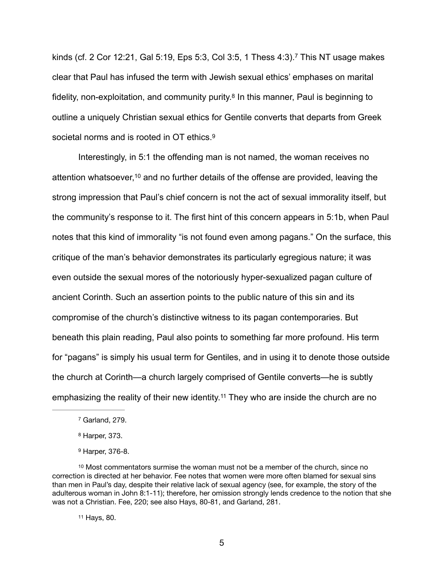<span id="page-4-6"></span><span id="page-4-5"></span>kinds (cf. 2 Cor 12:21, Gal 5:19, Eps 5:3, Col 3:5, 1 Thess  $4:3$ ).<sup>[7](#page-4-0)</sup> This NT usage makes clear that Paul has infused the term with Jewish sexual ethics' emphases on marital fidelity, non-exploitation, and community purity.<sup>[8](#page-4-1)</sup> In this manner, Paul is beginning to outline a uniquely Christian sexual ethics for Gentile converts that departs from Greek societal norms and is rooted in OT ethics.<sup>[9](#page-4-2)</sup>

<span id="page-4-8"></span><span id="page-4-7"></span> Interestingly, in 5:1 the offending man is not named, the woman receives no attention whatsoever[,](#page-4-3)  $10$  and no further details of the offense are provided, leaving the strong impression that Paul's chief concern is not the act of sexual immorality itself, but the community's response to it. The first hint of this concern appears in 5:1b, when Paul notes that this kind of immorality "is not found even among pagans." On the surface, this critique of the man's behavior demonstrates its particularly egregious nature; it was even outside the sexual mores of the notoriously hyper-sexualized pagan culture of ancient Corinth. Such an assertion points to the public nature of this sin and its compromise of the church's distinctive witness to its pagan contemporaries. But beneath this plain reading, Paul also points to something far more profound. His term for "pagans" is simply his usual term for Gentiles, and in using it to denote those outside the church at Corinth—a church largely comprised of Gentile converts—he is subtly emphasizing the reality of their new identity.<sup>[11](#page-4-4)</sup> They who are inside the church are no

<span id="page-4-9"></span><span id="page-4-0"></span><sup>&</sup>lt;sup>[7](#page-4-5)</sup> Garland, 279.

<span id="page-4-1"></span><sup>&</sup>lt;sup>[8](#page-4-6)</sup> Harper, 373.

<span id="page-4-3"></span><span id="page-4-2"></span>[<sup>9</sup>](#page-4-7) Harper, 376-8.

 $10$  Most commentators surmise the woman must not be a member of the church, since no correction is directed at her behavior. Fee notes that women were more often blamed for sexual sins than men in Paul's day, despite their relative lack of sexual agency (see, for example, the story of the adulterous woman in John 8:1-11); therefore, her omission strongly lends credence to the notion that she was not a Christian. Fee, 220; see also Hays, 80-81, and Garland, 281.

<span id="page-4-4"></span>[<sup>11</sup>](#page-4-9) Hays, 80.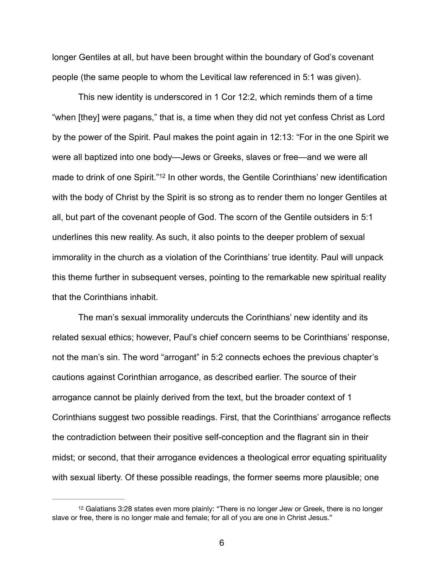longer Gentiles at all, but have been brought within the boundary of God's covenant people (the same people to whom the Levitical law referenced in 5:1 was given).

<span id="page-5-1"></span> This new identity is underscored in 1 Cor 12:2, which reminds them of a time "when [they] were pagans," that is, a time when they did not yet confess Christ as Lord by the power of the Spirit. Paul makes the point again in 12:13: "For in the one Spirit we were all baptized into one body—Jews or Greeks, slaves or free—and we were all made to drink of one Spirit.["](#page-5-0)<sup>[12](#page-5-0)</sup> In other words, the Gentile Corinthians' new identification with the body of Christ by the Spirit is so strong as to render them no longer Gentiles at all, but part of the covenant people of God. The scorn of the Gentile outsiders in 5:1 underlines this new reality. As such, it also points to the deeper problem of sexual immorality in the church as a violation of the Corinthians' true identity. Paul will unpack this theme further in subsequent verses, pointing to the remarkable new spiritual reality that the Corinthians inhabit.

 The man's sexual immorality undercuts the Corinthians' new identity and its related sexual ethics; however, Paul's chief concern seems to be Corinthians' response, not the man's sin. The word "arrogant" in 5:2 connects echoes the previous chapter's cautions against Corinthian arrogance, as described earlier. The source of their arrogance cannot be plainly derived from the text, but the broader context of 1 Corinthians suggest two possible readings. First, that the Corinthians' arrogance reflects the contradiction between their positive self-conception and the flagrant sin in their midst; or second, that their arrogance evidences a theological error equating spirituality with sexual liberty. Of these possible readings, the former seems more plausible; one

<span id="page-5-0"></span><sup>&</sup>lt;sup>[12](#page-5-1)</sup> Galatians 3:28 states even more plainly: "There is no longer Jew or Greek, there is no longer slave or free, there is no longer male and female; for all of you are one in Christ Jesus."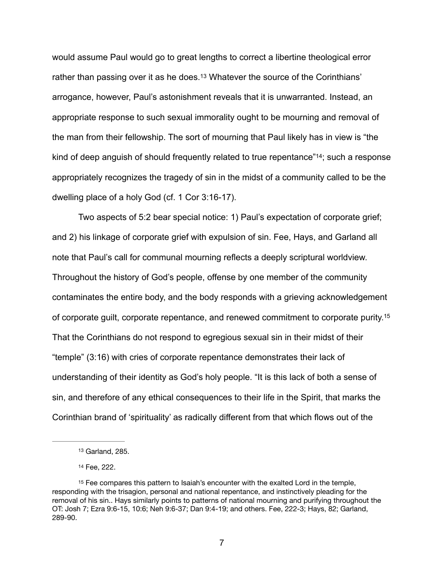<span id="page-6-3"></span>would assume Paul would go to great lengths to correct a libertine theological error rather than passing over it as he does[.](#page-6-0)<sup>[13](#page-6-0)</sup> Whatever the source of the Corinthians' arrogance, however, Paul's astonishment reveals that it is unwarranted. Instead, an appropriate response to such sexual immorality ought to be mourning and removal of the man from their fellowship. The sort of mourning that Paul likely has in view is "the kind of deep anguish of should frequently related to true repentance  $44$ ; such a response appropriately recognizes the tragedy of sin in the midst of a community called to be the dwelling place of a holy God (cf. 1 Cor 3:16-17).

<span id="page-6-4"></span> Two aspects of 5:2 bear special notice: 1) Paul's expectation of corporate grief; and 2) his linkage of corporate grief with expulsion of sin. Fee, Hays, and Garland all note that Paul's call for communal mourning reflects a deeply scriptural worldview. Throughout the history of God's people, offense by one member of the community contaminates the entire body, and the body responds with a grieving acknowledgement of corporate guilt, corporate repentance, and renewed commitment to corporate purity[.15](#page-6-2) That the Corinthians do not respond to egregious sexual sin in their midst of their "temple" (3:16) with cries of corporate repentance demonstrates their lack of understanding of their identity as God's holy people. "It is this lack of both a sense of sin, and therefore of any ethical consequences to their life in the Spirit, that marks the Corinthian brand of 'spirituality' as radically different from that which flows out of the

<span id="page-6-5"></span><span id="page-6-0"></span>[<sup>13</sup>](#page-6-3) Garland, 285.

<span id="page-6-2"></span><span id="page-6-1"></span>[<sup>14</sup>](#page-6-4) Fee, 222.

<sup>&</sup>lt;sup>[15](#page-6-5)</sup> Fee compares this pattern to Isaiah's encounter with the exalted Lord in the temple, responding with the trisagion, personal and national repentance, and instinctively pleading for the removal of his sin.. Hays similarly points to patterns of national mourning and purifying throughout the OT: Josh 7; Ezra 9:6-15, 10:6; Neh 9:6-37; Dan 9:4-19; and others. Fee, 222-3; Hays, 82; Garland, 289-90.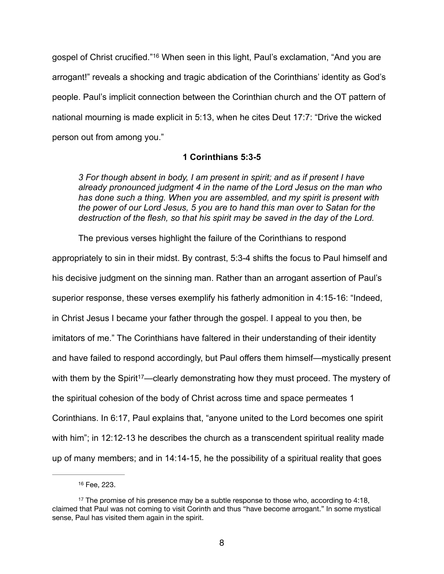<span id="page-7-2"></span>gospelof Christ crucified."<sup>[16](#page-7-0)</sup> When seen in this light, Paul's exclamation, "And you are arrogant!" reveals a shocking and tragic abdication of the Corinthians' identity as God's people. Paul's implicit connection between the Corinthian church and the OT pattern of national mourning is made explicit in 5:13, when he cites Deut 17:7: "Drive the wicked person out from among you."

## **1 Corinthians 5:3-5**

*3 For though absent in body, I am present in spirit; and as if present I have already pronounced judgment 4 in the name of the Lord Jesus on the man who has done such a thing. When you are assembled, and my spirit is present with the power of our Lord Jesus, 5 you are to hand this man over to Satan for the destruction of the flesh, so that his spirit may be saved in the day of the Lord.* 

The previous verses highlight the failure of the Corinthians to respond appropriately to sin in their midst. By contrast, 5:3-4 shifts the focus to Paul himself and his decisive judgment on the sinning man. Rather than an arrogant assertion of Paul's superior response, these verses exemplify his fatherly admonition in 4:15-16: "Indeed, in Christ Jesus I became your father through the gospel. I appeal to you then, be imitators of me." The Corinthians have faltered in their understanding of their identity and have failed to respond accordingly, but Paul offers them himself—mystically present with them by the Spirit<sup>17</sup>[—](#page-7-1)clearly demonstrating how they must proceed. The mystery of the spiritual cohesion of the body of Christ across time and space permeates 1 Corinthians. In 6:17, Paul explains that, "anyone united to the Lord becomes one spirit with him"; in 12:12-13 he describes the church as a transcendent spiritual reality made up of many members; and in 14:14-15, he the possibility of a spiritual reality that goes

<span id="page-7-3"></span><span id="page-7-1"></span><span id="page-7-0"></span>[<sup>16</sup>](#page-7-2) Fee, 223.

<sup>&</sup>lt;sup>[17](#page-7-3)</sup> The promise of his presence may be a subtle response to those who, according to 4:18, claimed that Paul was not coming to visit Corinth and thus "have become arrogant." In some mystical sense, Paul has visited them again in the spirit.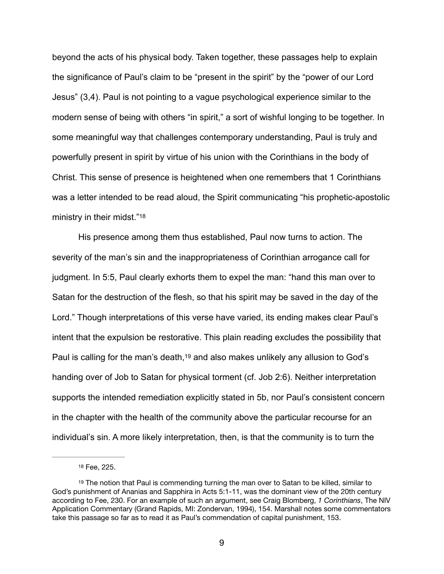beyond the acts of his physical body. Taken together, these passages help to explain the significance of Paul's claim to be "present in the spirit" by the "power of our Lord Jesus" (3,4). Paul is not pointing to a vague psychological experience similar to the modern sense of being with others "in spirit," a sort of wishful longing to be together. In some meaningful way that challenges contemporary understanding, Paul is truly and powerfully present in spirit by virtue of his union with the Corinthians in the body of Christ. This sense of presence is heightened when one remembers that 1 Corinthians was a letter intended to be read aloud, the Spirit communicating "his prophetic-apostolic ministry in their midst.["18](#page-8-0)

<span id="page-8-2"></span>His presence among them thus established, Paul now turns to action. The severity of the man's sin and the inappropriateness of Corinthian arrogance call for judgment. In 5:5, Paul clearly exhorts them to expel the man: "hand this man over to Satan for the destruction of the flesh, so that his spirit may be saved in the day of the Lord." Though interpretations of this verse have varied, its ending makes clear Paul's intent that the expulsion be restorative. This plain reading excludes the possibility that Paul is calling for the man's death,  $19$  and also makes unlikely any allusion to God's handing over of Job to Satan for physical torment (cf. Job 2:6). Neither interpretation supports the intended remediation explicitly stated in 5b, nor Paul's consistent concern in the chapter with the health of the community above the particular recourse for an individual's sin. A more likely interpretation, then, is that the community is to turn the

<span id="page-8-3"></span><span id="page-8-1"></span><span id="page-8-0"></span>[<sup>18</sup>](#page-8-2) Fee, 225.

 $19$  The notion that Paul is commending turning the man over to Satan to be killed, similar to God's punishment of Ananias and Sapphira in Acts 5:1-11, was the dominant view of the 20th century according to Fee, 230. For an example of such an argument, see Craig Blomberg, *1 Corinthians*, The NIV Application Commentary (Grand Rapids, MI: Zondervan, 1994), 154. Marshall notes some commentators take this passage so far as to read it as Paul's commendation of capital punishment, 153.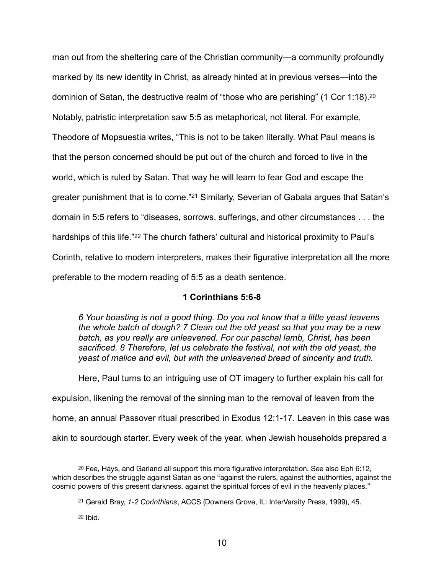man out from the sheltering care of the Christian community—a community profoundly marked by its new identity in Christ, as already hinted at in previous verses—into the dominion of Satan, the destructive realm of "those who are perishing" (1 Cor 1:18).[20](#page-9-0) Notably, patristic interpretation saw 5:5 as metaphorical, not literal. For example, Theodore of Mopsuestia writes, "This is not to be taken literally. What Paul means is that the person concerned should be put out of the church and forced to live in the world, which is ruled by Satan. That way he will learn to fear God and escape the greater punishment that is to come."<sup>[21](#page-9-1)</sup> Similarly, Severian of Gabala argues that Satan's domain in 5:5 refers to "diseases, sorrows, sufferings, and other circumstances . . . the hardships of this life.["](#page-9-2)<sup>[22](#page-9-2)</sup> The church fathers' cultural and historical proximity to Paul's Corinth, relative to modern interpreters, makes their figurative interpretation all the more preferable to the modern reading of 5:5 as a death sentence.

## <span id="page-9-5"></span><span id="page-9-4"></span><span id="page-9-3"></span>**1 Corinthians 5:6-8**

*6 Your boasting is not a good thing. Do you not know that a little yeast leavens the whole batch of dough? 7 Clean out the old yeast so that you may be a new batch, as you really are unleavened. For our paschal lamb, Christ, has been sacrificed. 8 Therefore, let us celebrate the festival, not with the old yeast, the yeast of malice and evil, but with the unleavened bread of sincerity and truth.* 

Here, Paul turns to an intriguing use of OT imagery to further explain his call for expulsion, likening the removal of the sinning man to the removal of leaven from the home, an annual Passover ritual prescribed in Exodus 12:1-17. Leaven in this case was akin to sourdough starter. Every week of the year, when Jewish households prepared a

<span id="page-9-0"></span> $20$  Fee, Hays, and Garland all support this more figurative interpretation. See also Eph 6:12, which describes the struggle against Satan as one "against the rulers, against the authorities, against the cosmic powers of this present darkness, against the spiritual forces of evil in the heavenly places."

<span id="page-9-1"></span>Gerald Bray, *1-2 Corinthians*, ACCS (Downers Grove, IL: InterVarsity Press, 1999), 45. [21](#page-9-4)

<span id="page-9-2"></span> $22$  Ibid.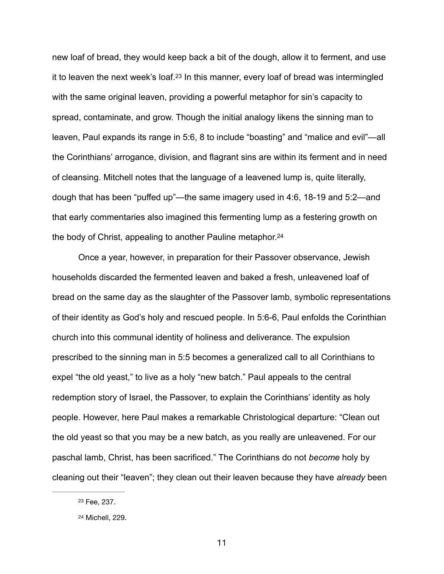<span id="page-10-2"></span>new loaf of bread, they would keep back a bit of the dough, allow it to ferment, and use itto leaven the next week's loaf.<sup>[23](#page-10-0)</sup> In this manner, every loaf of bread was intermingled with the same original leaven, providing a powerful metaphor for sin's capacity to spread, contaminate, and grow. Though the initial analogy likens the sinning man to leaven, Paul expands its range in 5:6, 8 to include "boasting" and "malice and evil"—all the Corinthians' arrogance, division, and flagrant sins are within its ferment and in need of cleansing. Mitchell notes that the language of a leavened lump is, quite literally, dough that has been "puffed up"—the same imagery used in 4:6, 18-19 and 5:2—and that early commentaries also imagined this fermenting lump as a festering growth on the body of Christ, appealing to another Pauline metaphor[.24](#page-10-1)

<span id="page-10-3"></span> Once a year, however, in preparation for their Passover observance, Jewish households discarded the fermented leaven and baked a fresh, unleavened loaf of bread on the same day as the slaughter of the Passover lamb, symbolic representations of their identity as God's holy and rescued people. In 5:6-6, Paul enfolds the Corinthian church into this communal identity of holiness and deliverance. The expulsion prescribed to the sinning man in 5:5 becomes a generalized call to all Corinthians to expel "the old yeast," to live as a holy "new batch." Paul appeals to the central redemption story of Israel, the Passover, to explain the Corinthians' identity as holy people. However, here Paul makes a remarkable Christological departure: "Clean out the old yeast so that you may be a new batch, as you really are unleavened. For our paschal lamb, Christ, has been sacrificed." The Corinthians do not *become* holy by cleaning out their "leaven"; they clean out their leaven because they have *already* been

<span id="page-10-0"></span><sup>&</sup>lt;sup>[23](#page-10-2)</sup> Fee, 237.

<span id="page-10-1"></span><sup>&</sup>lt;sup>[24](#page-10-3)</sup> Michell, 229.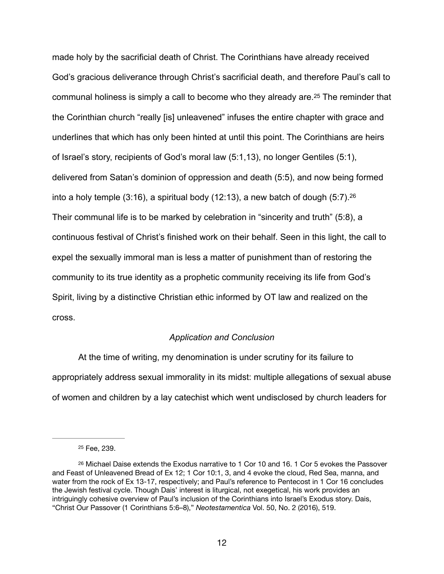<span id="page-11-2"></span>made holy by the sacrificial death of Christ. The Corinthians have already received God's gracious deliverance through Christ's sacrificial death, and therefore Paul's call to communalholiness is simply a call to become who they already are.<sup>[25](#page-11-0)</sup> The reminder that the Corinthian church "really [is] unleavened" infuses the entire chapter with grace and underlines that which has only been hinted at until this point. The Corinthians are heirs of Israel's story, recipients of God's moral law (5:1,13), no longer Gentiles (5:1), delivered from Satan's dominion of oppression and death (5:5), and now being formed into a holy temple  $(3.16)$  $(3.16)$  $(3.16)$ , a spiritual body  $(12.13)$ , a new batch of dough  $(5.7)$ .  $26$ Their communal life is to be marked by celebration in "sincerity and truth" (5:8), a continuous festival of Christ's finished work on their behalf. Seen in this light, the call to expel the sexually immoral man is less a matter of punishment than of restoring the community to its true identity as a prophetic community receiving its life from God's Spirit, living by a distinctive Christian ethic informed by OT law and realized on the cross.

### <span id="page-11-3"></span>*Application and Conclusion*

 At the time of writing, my denomination is under scrutiny for its failure to appropriately address sexual immorality in its midst: multiple allegations of sexual abuse of women and children by a lay catechist which went undisclosed by church leaders for

<span id="page-11-1"></span><span id="page-11-0"></span><sup>&</sup>lt;sup>[25](#page-11-2)</sup> Fee, 239.

<sup>&</sup>lt;sup>[26](#page-11-3)</sup> Michael Daise extends the Exodus narrative to 1 Cor 10 and 16. 1 Cor 5 evokes the Passover and Feast of Unleavened Bread of Ex 12; 1 Cor 10:1, 3, and 4 evoke the cloud, Red Sea, manna, and water from the rock of Ex 13-17, respectively; and Paul's reference to Pentecost in 1 Cor 16 concludes the Jewish festival cycle. Though Dais' interest is liturgical, not exegetical, his work provides an intriguingly cohesive overview of Paul's inclusion of the Corinthians into Israel's Exodus story. Dais, "Christ Our Passover (1 Corinthians 5:6–8)," *Neotestamentica* Vol. 50, No. 2 (2016), 519.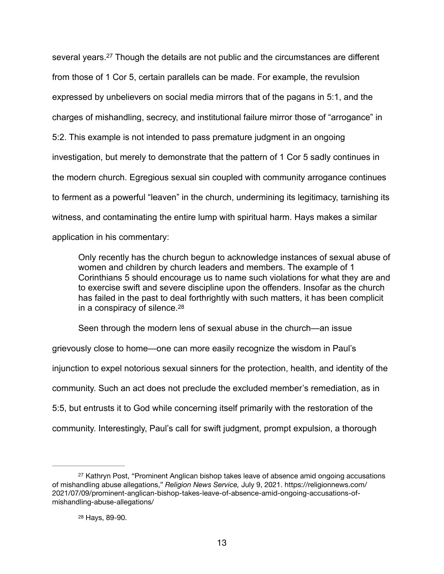<span id="page-12-2"></span>severalyears.<sup>[27](#page-12-0)</sup> Though the details are not public and the circumstances are different from those of 1 Cor 5, certain parallels can be made. For example, the revulsion expressed by unbelievers on social media mirrors that of the pagans in 5:1, and the charges of mishandling, secrecy, and institutional failure mirror those of "arrogance" in 5:2. This example is not intended to pass premature judgment in an ongoing investigation, but merely to demonstrate that the pattern of 1 Cor 5 sadly continues in the modern church. Egregious sexual sin coupled with community arrogance continues to ferment as a powerful "leaven" in the church, undermining its legitimacy, tarnishing its witness, and contaminating the entire lump with spiritual harm. Hays makes a similar application in his commentary:

Only recently has the church begun to acknowledge instances of sexual abuse of women and children by church leaders and members. The example of 1 Corinthians 5 should encourage us to name such violations for what they are and to exercise swift and severe discipline upon the offenders. Insofar as the church has failed in the past to deal forthrightly with such matters, it has been complicit in a conspiracy of silence[.](#page-12-1) [28](#page-12-1)

<span id="page-12-3"></span>Seen through the modern lens of sexual abuse in the church—an issue

grievously close to home—one can more easily recognize the wisdom in Paul's injunction to expel notorious sexual sinners for the protection, health, and identity of the community. Such an act does not preclude the excluded member's remediation, as in 5:5, but entrusts it to God while concerning itself primarily with the restoration of the community. Interestingly, Paul's call for swift judgment, prompt expulsion, a thorough

<span id="page-12-0"></span>[<sup>27</sup>](#page-12-2) Kathryn Post, "Prominent Anglican bishop takes leave of absence amid ongoing accusations of mishandling abuse allegations," *Religion News Service,* July 9, 2021. https://religionnews.com/ 2021/07/09/prominent-anglican-bishop-takes-leave-of-absence-amid-ongoing-accusations-ofmishandling-abuse-allegations/

<span id="page-12-1"></span><sup>&</sup>lt;sup>[28](#page-12-3)</sup> Hays, 89-90.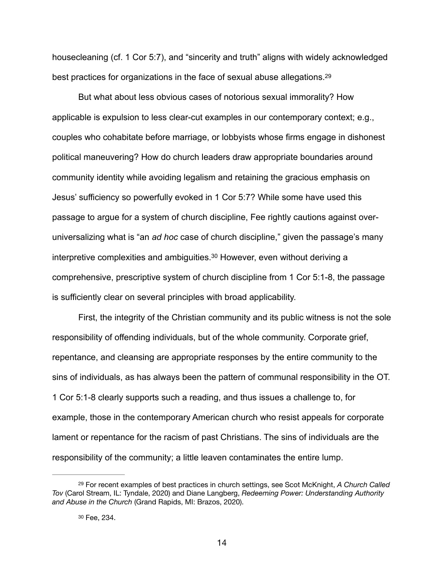<span id="page-13-2"></span>housecleaning (cf. 1 Cor 5:7), and "sincerity and truth" aligns with widely acknowledged best practices for organizations in the face of sexual abuse allegations[.](#page-13-0) [29](#page-13-0)

 But what about less obvious cases of notorious sexual immorality? How applicable is expulsion to less clear-cut examples in our contemporary context; e.g., couples who cohabitate before marriage, or lobbyists whose firms engage in dishonest political maneuvering? How do church leaders draw appropriate boundaries around community identity while avoiding legalism and retaining the gracious emphasis on Jesus' sufficiency so powerfully evoked in 1 Cor 5:7? While some have used this passage to argue for a system of church discipline, Fee rightly cautions against overuniversalizing what is "an *ad hoc* case of church discipline," given the passage's many interpretive complexities and ambiguities[.](#page-13-1)<sup>[30](#page-13-1)</sup> However, even without deriving a comprehensive, prescriptive system of church discipline from 1 Cor 5:1-8, the passage is sufficiently clear on several principles with broad applicability.

<span id="page-13-3"></span> First, the integrity of the Christian community and its public witness is not the sole responsibility of offending individuals, but of the whole community. Corporate grief, repentance, and cleansing are appropriate responses by the entire community to the sins of individuals, as has always been the pattern of communal responsibility in the OT. 1 Cor 5:1-8 clearly supports such a reading, and thus issues a challenge to, for example, those in the contemporary American church who resist appeals for corporate lament or repentance for the racism of past Christians. The sins of individuals are the responsibility of the community; a little leaven contaminates the entire lump.

<span id="page-13-0"></span>For recent examples of best practices in church settings, see Scot McKnight, *A Church Called* [29](#page-13-2) *Tov* (Carol Stream, IL: Tyndale, 2020) and Diane Langberg, *Redeeming Power: Understanding Authority and Abuse in the Church* (Grand Rapids, MI: Brazos, 2020).

<span id="page-13-1"></span><sup>&</sup>lt;sup>[30](#page-13-3)</sup> Fee, 234.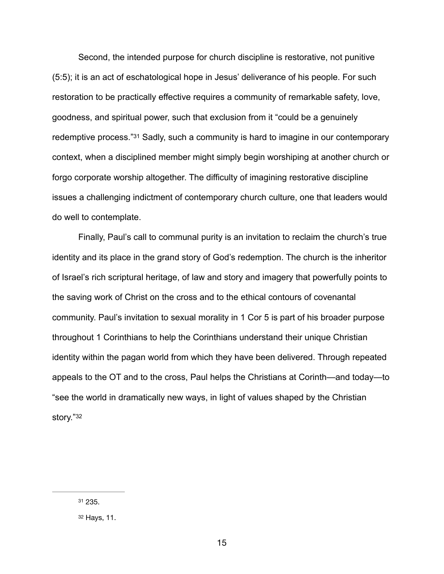<span id="page-14-2"></span> Second, the intended purpose for church discipline is restorative, not punitive (5:5); it is an act of eschatological hope in Jesus' deliverance of his people. For such restoration to be practically effective requires a community of remarkable safety, love, goodness, and spiritual power, such that exclusion from it "could be a genuinely redemptive process."<sup>[31](#page-14-0)</sup> Sadly, such a community is hard to imagine in our contemporary context, when a disciplined member might simply begin worshiping at another church or forgo corporate worship altogether. The difficulty of imagining restorative discipline issues a challenging indictment of contemporary church culture, one that leaders would do well to contemplate.

 Finally, Paul's call to communal purity is an invitation to reclaim the church's true identity and its place in the grand story of God's redemption. The church is the inheritor of Israel's rich scriptural heritage, of law and story and imagery that powerfully points to the saving work of Christ on the cross and to the ethical contours of covenantal community. Paul's invitation to sexual morality in 1 Cor 5 is part of his broader purpose throughout 1 Corinthians to help the Corinthians understand their unique Christian identity within the pagan world from which they have been delivered. Through repeated appeals to the OT and to the cross, Paul helps the Christians at Corinth—and today—to "see the world in dramatically new ways, in light of values shaped by the Christian story.["32](#page-14-1)

<span id="page-14-3"></span><span id="page-14-0"></span>[<sup>31</sup>](#page-14-2) 235.

<span id="page-14-1"></span>[<sup>32</sup>](#page-14-3) Hays, 11.